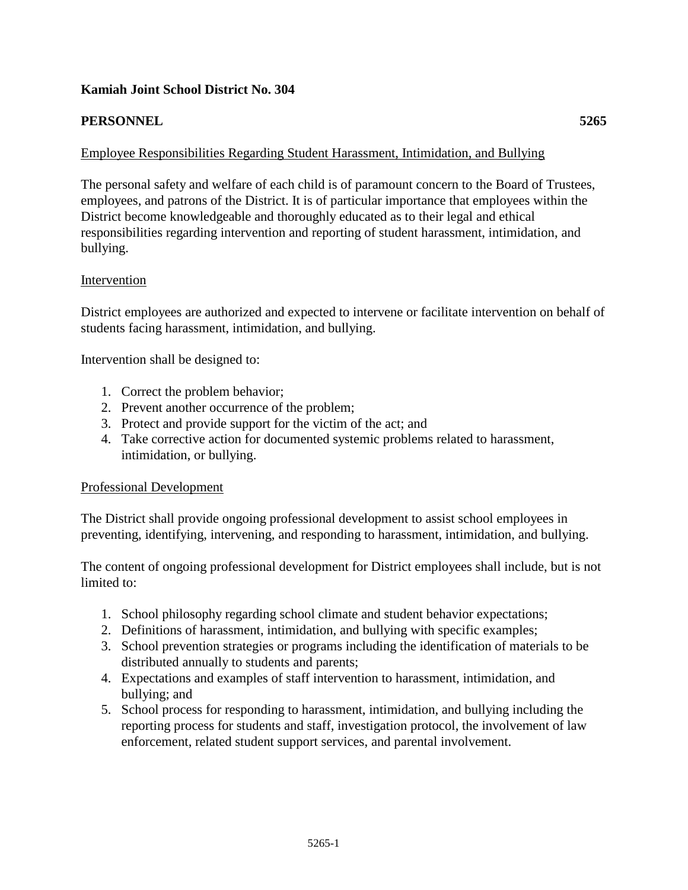## **Kamiah Joint School District No. 304**

# **PERSONNEL 5265**

# Employee Responsibilities Regarding Student Harassment, Intimidation, and Bullying

The personal safety and welfare of each child is of paramount concern to the Board of Trustees, employees, and patrons of the District. It is of particular importance that employees within the District become knowledgeable and thoroughly educated as to their legal and ethical responsibilities regarding intervention and reporting of student harassment, intimidation, and bullying.

### Intervention

District employees are authorized and expected to intervene or facilitate intervention on behalf of students facing harassment, intimidation, and bullying.

Intervention shall be designed to:

- 1. Correct the problem behavior;
- 2. Prevent another occurrence of the problem;
- 3. Protect and provide support for the victim of the act; and
- 4. Take corrective action for documented systemic problems related to harassment, intimidation, or bullying.

### Professional Development

The District shall provide ongoing professional development to assist school employees in preventing, identifying, intervening, and responding to harassment, intimidation, and bullying.

The content of ongoing professional development for District employees shall include, but is not limited to:

- 1. School philosophy regarding school climate and student behavior expectations;
- 2. Definitions of harassment, intimidation, and bullying with specific examples;
- 3. School prevention strategies or programs including the identification of materials to be distributed annually to students and parents;
- 4. Expectations and examples of staff intervention to harassment, intimidation, and bullying; and
- 5. School process for responding to harassment, intimidation, and bullying including the reporting process for students and staff, investigation protocol, the involvement of law enforcement, related student support services, and parental involvement.